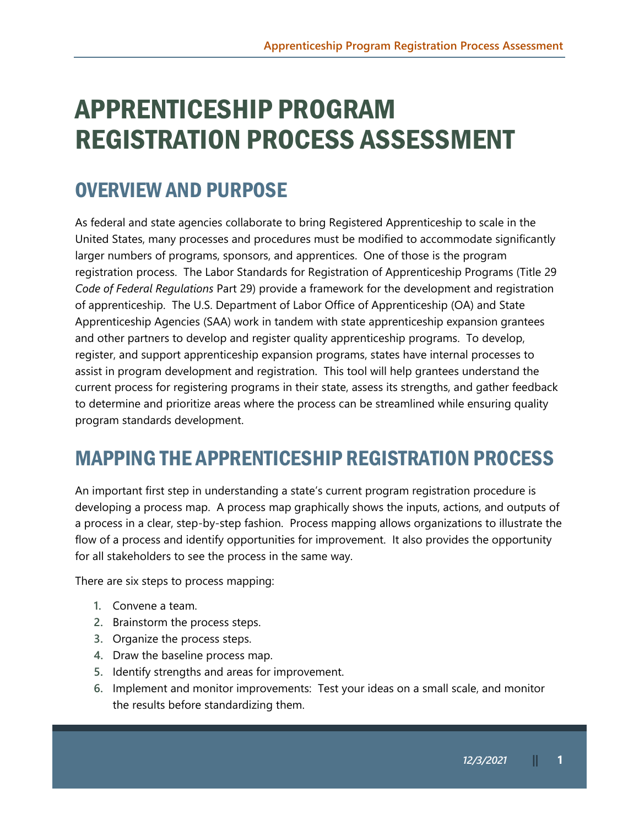# APPRENTICESHIP PROGRAM REGISTRATION PROCESS ASSESSMENT

# OVERVIEW AND PURPOSE

As federal and state agencies collaborate to bring Registered Apprenticeship to scale in the United States, many processes and procedures must be modified to accommodate significantly larger numbers of programs, sponsors, and apprentices. One of those is the program registration process. The Labor Standards for Registration of Apprenticeship Programs (Title 29 *Code of Federal Regulations* Part 29) provide a framework for the development and registration of apprenticeship. The U.S. Department of Labor Office of Apprenticeship (OA) and State Apprenticeship Agencies (SAA) work in tandem with state apprenticeship expansion grantees and other partners to develop and register quality apprenticeship programs. To develop, register, and support apprenticeship expansion programs, states have internal processes to assist in program development and registration. This tool will help grantees understand the current process for registering programs in their state, assess its strengths, and gather feedback to determine and prioritize areas where the process can be streamlined while ensuring quality program standards development.

# MAPPING THE APPRENTICESHIP REGISTRATION PROCESS

An important first step in understanding a state's current program registration procedure is developing a process map. A process map graphically shows the inputs, actions, and outputs of a process in a clear, step-by-step fashion. Process mapping allows organizations to illustrate the flow of a process and identify opportunities for improvement. It also provides the opportunity for all stakeholders to see the process in the same way.

There are six steps to process mapping:

- **1.** Convene a team.
- **2.** Brainstorm the process steps.
- **3.** Organize the process steps.
- **4.** Draw the baseline process map.
- **5.** Identify strengths and areas for improvement.
- **6.** Implement and monitor improvements: Test your ideas on a small scale, and monitor the results before standardizing them.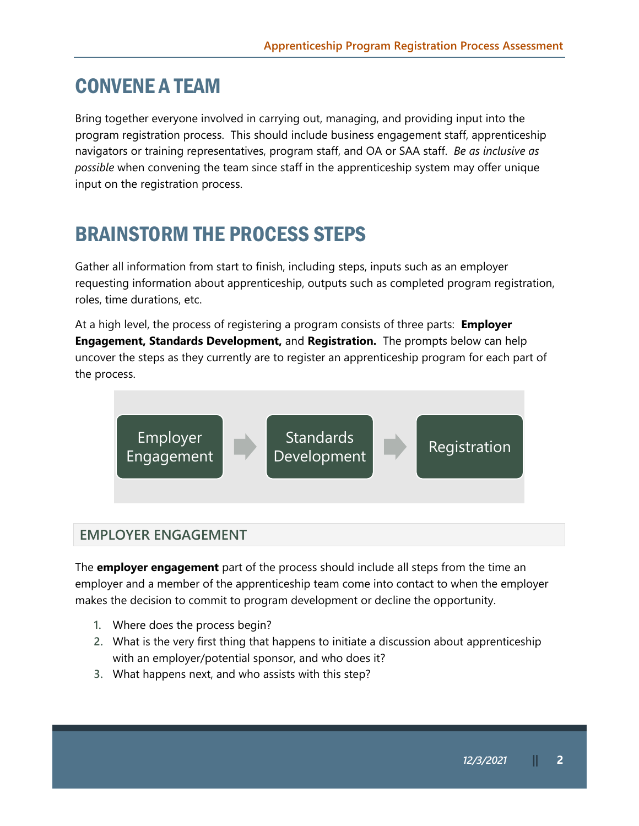### CONVENE A TEAM

Bring together everyone involved in carrying out, managing, and providing input into the program registration process. This should include business engagement staff, apprenticeship navigators or training representatives, program staff, and OA or SAA staff. *Be as inclusive as possible* when convening the team since staff in the apprenticeship system may offer unique input on the registration process.

# BRAINSTORM THE PROCESS STEPS

Gather all information from start to finish, including steps, inputs such as an employer requesting information about apprenticeship, outputs such as completed program registration, roles, time durations, etc.

At a high level, the process of registering a program consists of three parts: **Employer Engagement, Standards Development,** and **Registration.** The prompts below can help uncover the steps as they currently are to register an apprenticeship program for each part of the process.



### **EMPLOYER ENGAGEMENT**

The **employer engagement** part of the process should include all steps from the time an employer and a member of the apprenticeship team come into contact to when the employer makes the decision to commit to program development or decline the opportunity.

- **1.** Where does the process begin?
- **2.** What is the very first thing that happens to initiate a discussion about apprenticeship with an employer/potential sponsor, and who does it?
- **3.** What happens next, and who assists with this step?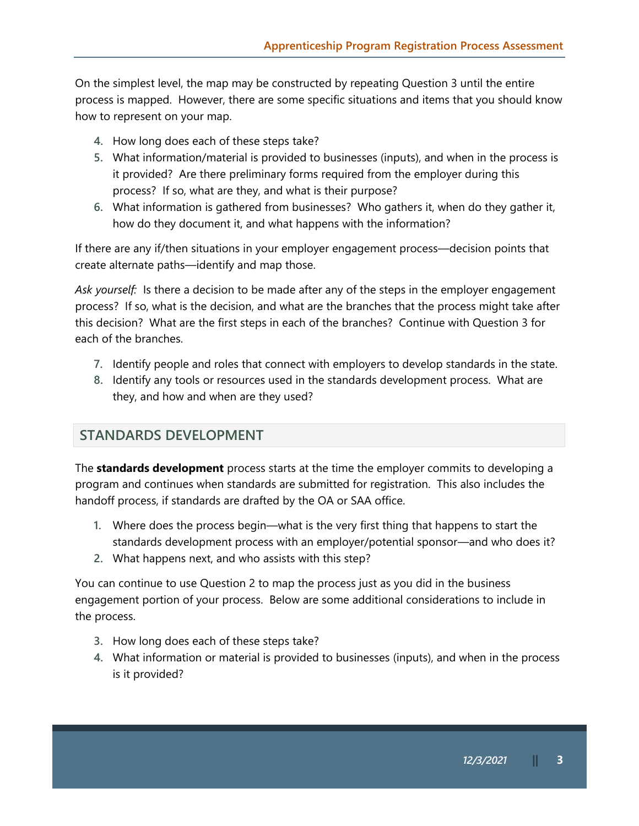On the simplest level, the map may be constructed by repeating Question 3 until the entire process is mapped. However, there are some specific situations and items that you should know how to represent on your map.

- **4.** How long does each of these steps take?
- **5.** What information/material is provided to businesses (inputs), and when in the process is it provided? Are there preliminary forms required from the employer during this process? If so, what are they, and what is their purpose?
- **6.** What information is gathered from businesses? Who gathers it, when do they gather it, how do they document it, and what happens with the information?

If there are any if/then situations in your employer engagement process—decision points that create alternate paths—identify and map those.

*Ask yourself:* Is there a decision to be made after any of the steps in the employer engagement process? If so, what is the decision, and what are the branches that the process might take after this decision? What are the first steps in each of the branches? Continue with Question 3 for each of the branches.

- **7.** Identify people and roles that connect with employers to develop standards in the state.
- **8.** Identify any tools or resources used in the standards development process. What are they, and how and when are they used?

### **STANDARDS DEVELOPMENT**

The **standards development** process starts at the time the employer commits to developing a program and continues when standards are submitted for registration. This also includes the handoff process, if standards are drafted by the OA or SAA office.

- **1.** Where does the process begin—what is the very first thing that happens to start the standards development process with an employer/potential sponsor—and who does it?
- **2.** What happens next, and who assists with this step?

You can continue to use Question 2 to map the process just as you did in the business engagement portion of your process. Below are some additional considerations to include in the process.

- **3.** How long does each of these steps take?
- **4.** What information or material is provided to businesses (inputs), and when in the process is it provided?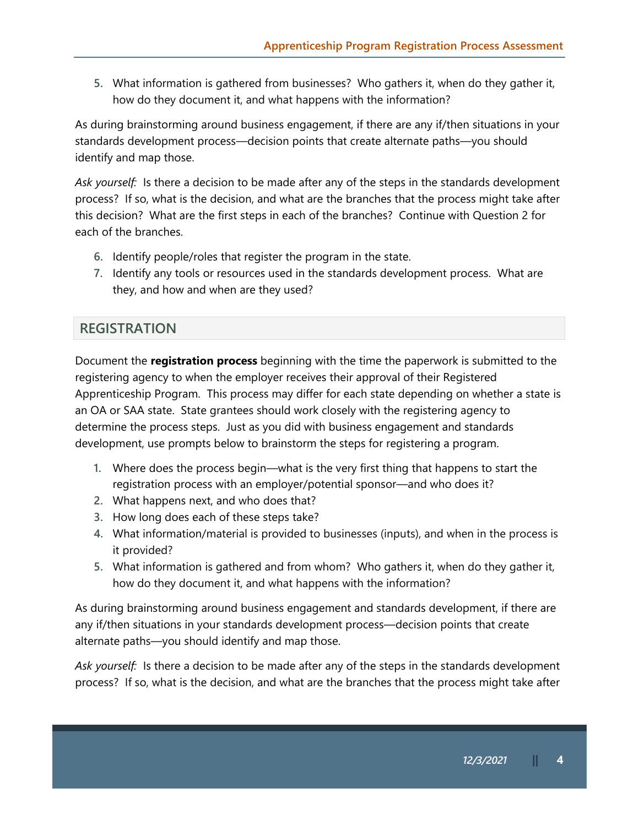**5.** What information is gathered from businesses? Who gathers it, when do they gather it, how do they document it, and what happens with the information?

As during brainstorming around business engagement, if there are any if/then situations in your standards development process—decision points that create alternate paths—you should identify and map those.

*Ask yourself:* Is there a decision to be made after any of the steps in the standards development process? If so, what is the decision, and what are the branches that the process might take after this decision? What are the first steps in each of the branches? Continue with Question 2 for each of the branches.

- **6.** Identify people/roles that register the program in the state.
- **7.** Identify any tools or resources used in the standards development process. What are they, and how and when are they used?

#### **REGISTRATION**

Document the **registration process** beginning with the time the paperwork is submitted to the registering agency to when the employer receives their approval of their Registered Apprenticeship Program. This process may differ for each state depending on whether a state is an OA or SAA state. State grantees should work closely with the registering agency to determine the process steps. Just as you did with business engagement and standards development, use prompts below to brainstorm the steps for registering a program.

- **1.** Where does the process begin—what is the very first thing that happens to start the registration process with an employer/potential sponsor—and who does it?
- **2.** What happens next, and who does that?
- **3.** How long does each of these steps take?
- **4.** What information/material is provided to businesses (inputs), and when in the process is it provided?
- **5.** What information is gathered and from whom? Who gathers it, when do they gather it, how do they document it, and what happens with the information?

As during brainstorming around business engagement and standards development, if there are any if/then situations in your standards development process—decision points that create alternate paths—you should identify and map those.

*Ask yourself:* Is there a decision to be made after any of the steps in the standards development process? If so, what is the decision, and what are the branches that the process might take after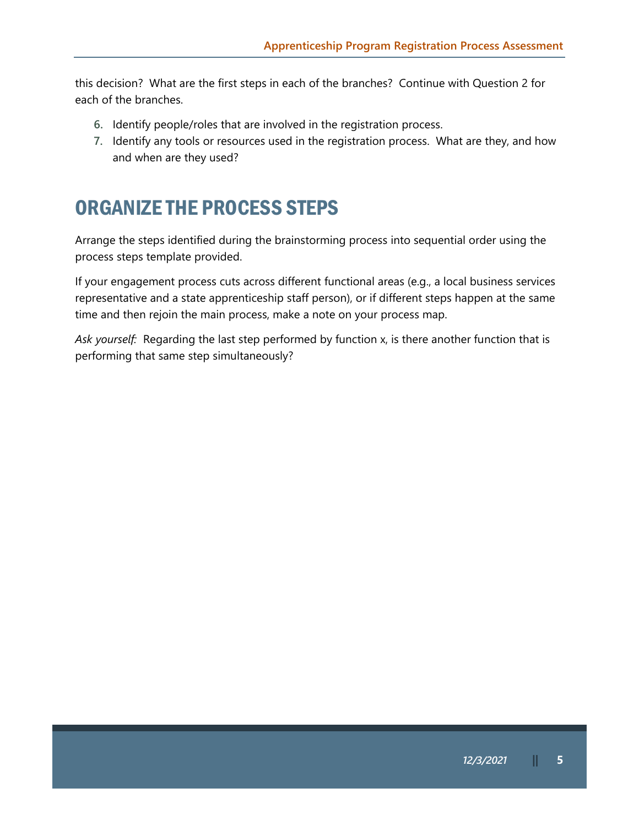this decision? What are the first steps in each of the branches? Continue with Question 2 for each of the branches.

- **6.** Identify people/roles that are involved in the registration process.
- **7.** Identify any tools or resources used in the registration process. What are they, and how and when are they used?

### ORGANIZE THE PROCESS STEPS

Arrange the steps identified during the brainstorming process into sequential order using the process steps template provided.

If your engagement process cuts across different functional areas (e.g., a local business services representative and a state apprenticeship staff person), or if different steps happen at the same time and then rejoin the main process, make a note on your process map.

*Ask yourself:* Regarding the last step performed by function x, is there another function that is performing that same step simultaneously?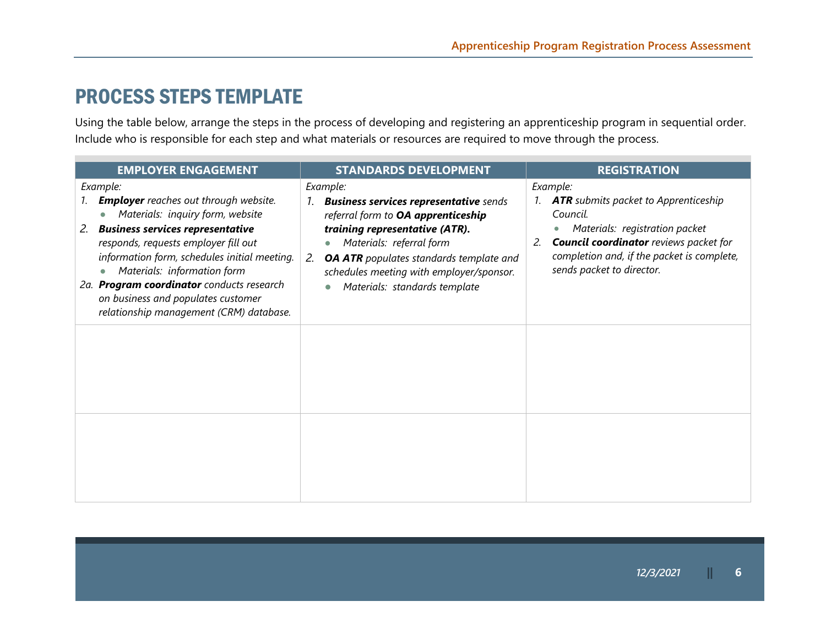### PROCESS STEPS TEMPLATE

Using the table below, arrange the steps in the process of developing and registering an apprenticeship program in sequential order. Include who is responsible for each step and what materials or resources are required to move through the process.

| <b>EMPLOYER ENGAGEMENT</b>                                                                                                                                                                                                                                                                                                                                                                                                   | <b>STANDARDS DEVELOPMENT</b>                                                                                                                                                                                                                                                                       | <b>REGISTRATION</b>                                                                                                                                                                                                                               |
|------------------------------------------------------------------------------------------------------------------------------------------------------------------------------------------------------------------------------------------------------------------------------------------------------------------------------------------------------------------------------------------------------------------------------|----------------------------------------------------------------------------------------------------------------------------------------------------------------------------------------------------------------------------------------------------------------------------------------------------|---------------------------------------------------------------------------------------------------------------------------------------------------------------------------------------------------------------------------------------------------|
| Example:<br><b>Employer</b> reaches out through website.<br>Materials: inquiry form, website<br>$\bullet$<br><b>Business services representative</b><br>2.<br>responds, requests employer fill out<br>information form, schedules initial meeting.<br>Materials: information form<br>$\bullet$<br>2a. Program coordinator conducts research<br>on business and populates customer<br>relationship management (CRM) database. | Example:<br><b>Business services representative</b> sends<br>referral form to OA apprenticeship<br>training representative (ATR).<br>Materials: referral form<br><b>OA ATR</b> populates standards template and<br>2.<br>schedules meeting with employer/sponsor.<br>Materials: standards template | Example:<br>1. <b>ATR</b> submits packet to Apprenticeship<br>Council.<br>Materials: registration packet<br>$\bullet$<br><b>Council coordinator</b> reviews packet for<br>completion and, if the packet is complete,<br>sends packet to director. |
|                                                                                                                                                                                                                                                                                                                                                                                                                              |                                                                                                                                                                                                                                                                                                    |                                                                                                                                                                                                                                                   |
|                                                                                                                                                                                                                                                                                                                                                                                                                              |                                                                                                                                                                                                                                                                                                    |                                                                                                                                                                                                                                                   |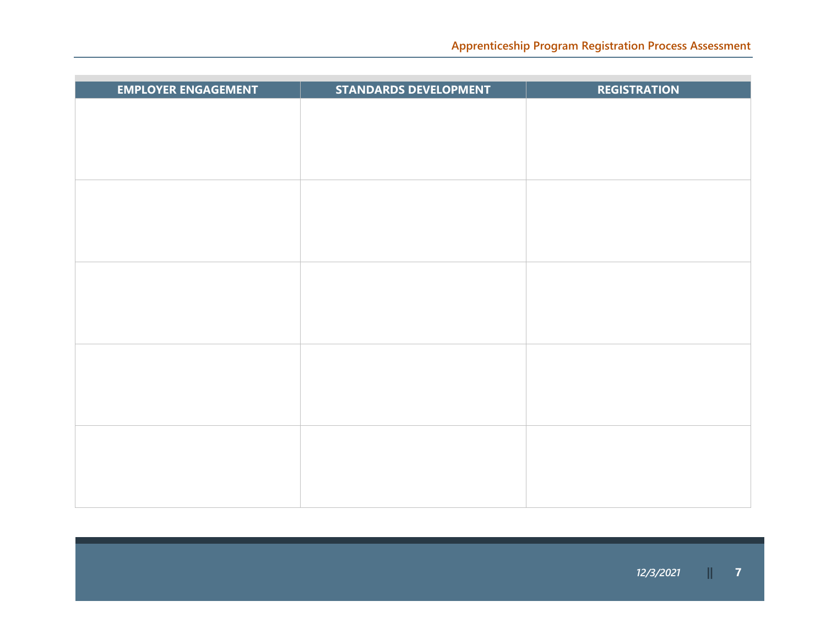| <b>EMPLOYER ENGAGEMENT</b> | <b>STANDARDS DEVELOPMENT</b> | <b>REGISTRATION</b> |
|----------------------------|------------------------------|---------------------|
|                            |                              |                     |
|                            |                              |                     |
|                            |                              |                     |
|                            |                              |                     |
|                            |                              |                     |
|                            |                              |                     |
|                            |                              |                     |
|                            |                              |                     |
|                            |                              |                     |
|                            |                              |                     |
|                            |                              |                     |
|                            |                              |                     |
|                            |                              |                     |
|                            |                              |                     |
|                            |                              |                     |
|                            |                              |                     |
|                            |                              |                     |
|                            |                              |                     |
|                            |                              |                     |
|                            |                              |                     |
|                            |                              |                     |
|                            |                              |                     |
|                            |                              |                     |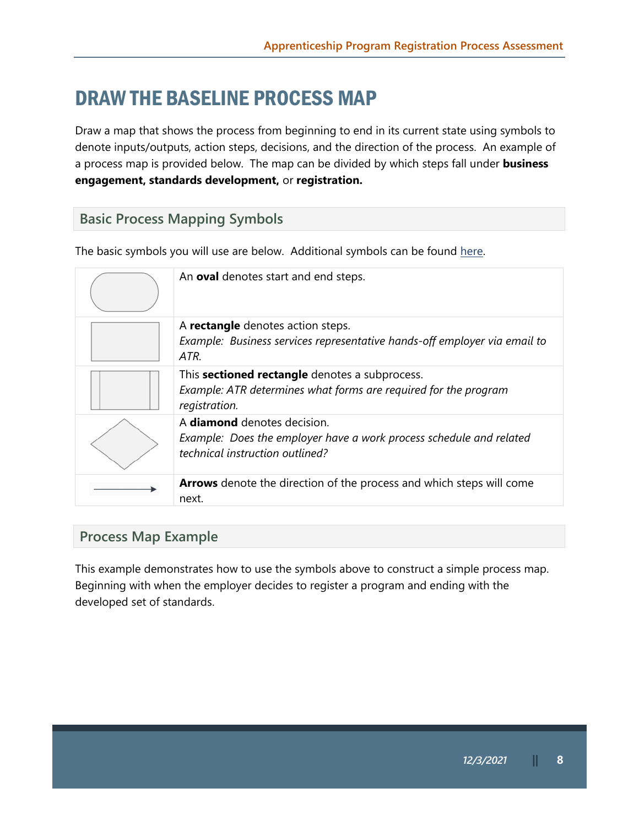# DRAW THE BASELINE PROCESS MAP

Draw a map that shows the process from beginning to end in its current state using symbols to denote inputs/outputs, action steps, decisions, and the direction of the process. An example of a process map is provided below. The map can be divided by which steps fall under **business engagement, standards development,** or **registration.** 

### **Basic Process Mapping Symbols**

The basic symbols you will use are below. Additional symbols can be found here.

| An oval denotes start and end steps.                                                                                                         |
|----------------------------------------------------------------------------------------------------------------------------------------------|
| A rectangle denotes action steps.<br>Example: Business services representative hands-off employer via email to<br>ATR.                       |
| This <b>sectioned rectangle</b> denotes a subprocess.<br>Example: ATR determines what forms are required for the program<br>registration.    |
| A <b>diamond</b> denotes decision.<br>Example: Does the employer have a work process schedule and related<br>technical instruction outlined? |
| Arrows denote the direction of the process and which steps will come<br>next.                                                                |

#### **Process Map Example**

This example demonstrates how to use the symbols above to construct a simple process map. Beginning with when the employer decides to register a program and ending with the developed set of standards.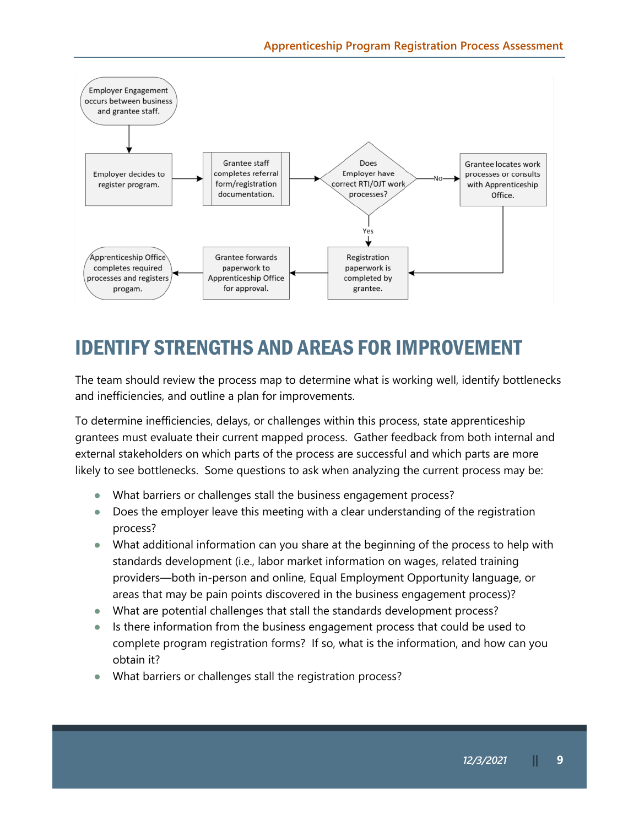

# IDENTIFY STRENGTHS AND AREAS FOR IMPROVEMENT

The team should review the process map to determine what is working well, identify bottlenecks and inefficiencies, and outline a plan for improvements.

To determine inefficiencies, delays, or challenges within this process, state apprenticeship grantees must evaluate their current mapped process. Gather feedback from both internal and external stakeholders on which parts of the process are successful and which parts are more likely to see bottlenecks. Some questions to ask when analyzing the current process may be:

- What barriers or challenges stall the business engagement process?
- Does the employer leave this meeting with a clear understanding of the registration process?
- What additional information can you share at the beginning of the process to help with standards development (i.e., labor market information on wages, related training providers—both in-person and online, Equal Employment Opportunity language, or areas that may be pain points discovered in the business engagement process)?
- What are potential challenges that stall the standards development process?
- Is there information from the business engagement process that could be used to complete program registration forms? If so, what is the information, and how can you obtain it?
- What barriers or challenges stall the registration process?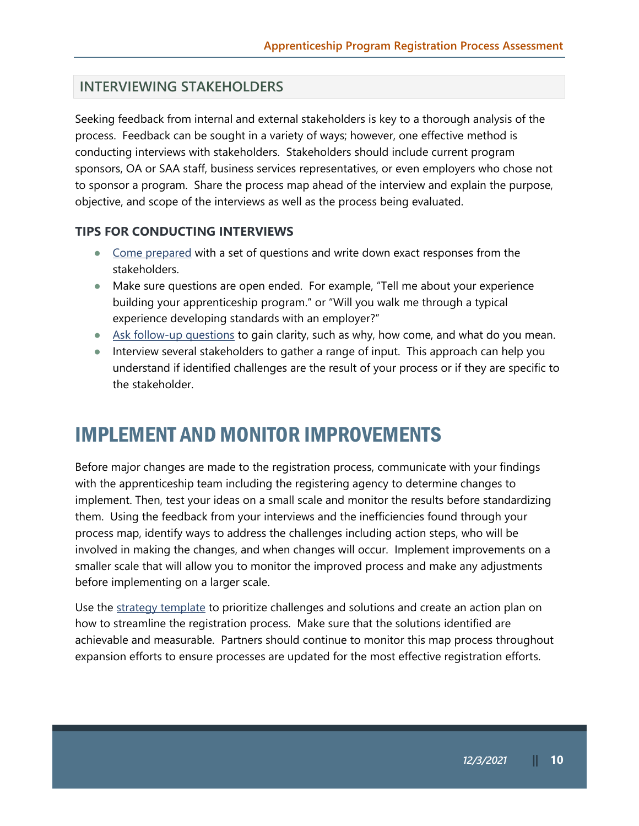#### **INTERVIEWING STAKEHOLDERS**

Seeking feedback from internal and external stakeholders is key to a thorough analysis of the process. Feedback can be sought in a variety of ways; however, one effective method is conducting interviews with stakeholders. Stakeholders should include current program sponsors, OA or SAA staff, business services representatives, or even employers who chose not to sponsor a program. Share the process map ahead of the interview and explain the purpose, objective, and scope of the interviews as well as the process being evaluated.

#### **TIPS FOR CONDUCTING INTERVIEWS**

- Come prepared with a set of questions and write down exact responses from the stakeholders.
- Make sure questions are open ended. For example, "Tell me about your experience building your apprenticeship program." or "Will you walk me through a typical experience developing standards with an employer?"
- Ask follow-up questions to gain clarity, such as why, how come, and what do you mean.
- Interview several stakeholders to gather a range of input. This approach can help you understand if identified challenges are the result of your process or if they are specific to the stakeholder.

### IMPLEMENT AND MONITOR IMPROVEMENTS

Before major changes are made to the registration process, communicate with your findings with the apprenticeship team including the registering agency to determine changes to implement. Then, test your ideas on a small scale and monitor the results before standardizing them. Using the feedback from your interviews and the inefficiencies found through your process map, identify ways to address the challenges including action steps, who will be involved in making the changes, and when changes will occur. Implement improvements on a smaller scale that will allow you to monitor the improved process and make any adjustments before implementing on a larger scale.

Use the strategy template to prioritize challenges and solutions and create an action plan on how to streamline the registration process. Make sure that the solutions identified are achievable and measurable. Partners should continue to monitor this map process throughout expansion efforts to ensure processes are updated for the most effective registration efforts.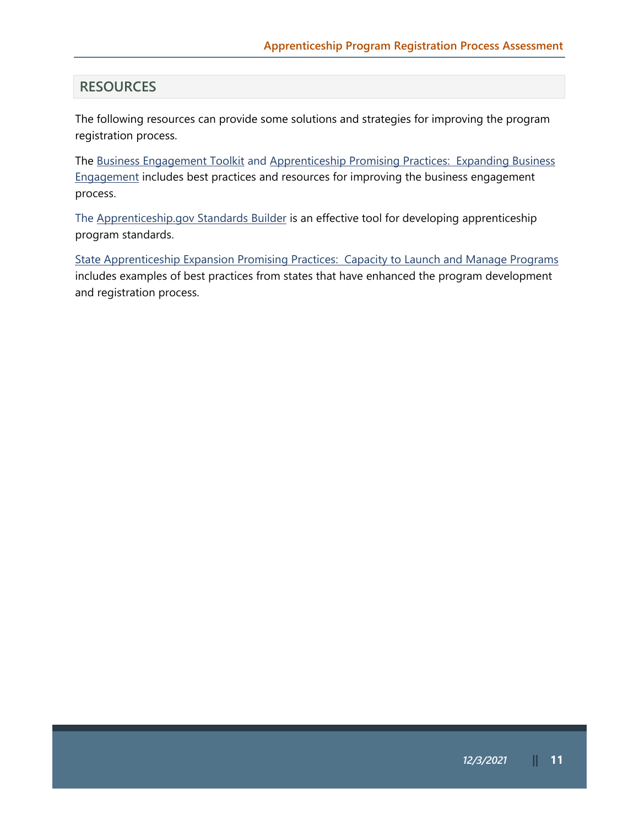#### **RESOURCES**

The following resources can provide some solutions and strategies for improving the program registration process.

The Business Engagement Toolkit and Apprenticeship Promising Practices: Expanding Business Engagement includes best practices and resources for improving the business engagement process.

The [Apprenticeship.gov](http://Apprenticeship.gov) Standards Builder is an effective tool for developing apprenticeship program standards.

State Apprenticeship Expansion Promising Practices: Capacity to Launch and Manage Programs includes examples of best practices from states that have enhanced the program development and registration process.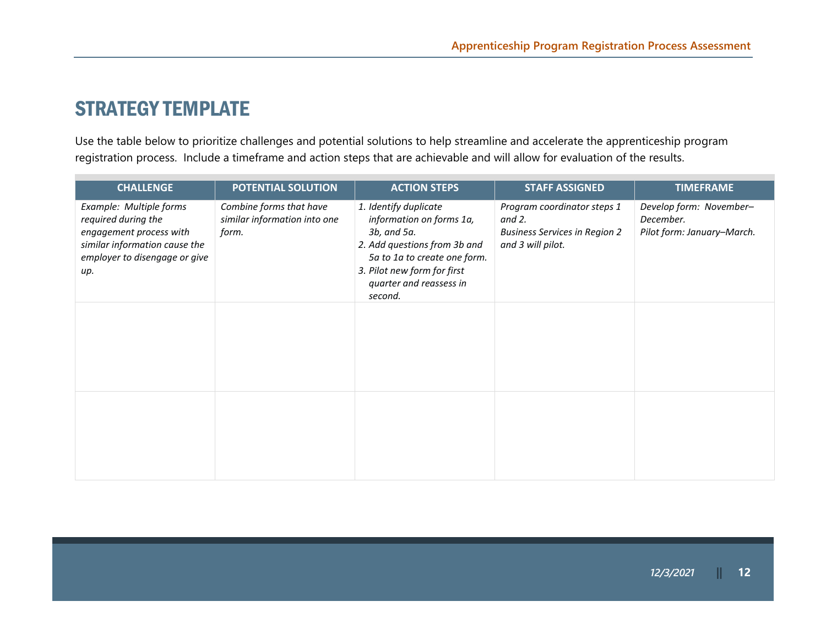### STRATEGY TEMPLATE

Use the table below to prioritize challenges and potential solutions to help streamline and accelerate the apprenticeship program registration process. Include a timeframe and action steps that are achievable and will allow for evaluation of the results.

| <b>CHALLENGE</b>                                                                                                                                   | <b>POTENTIAL SOLUTION</b>                                        | <b>ACTION STEPS</b>                                                                                                                                                                                   | <b>STAFF ASSIGNED</b>                                                                                 | <b>TIMEFRAME</b>                                                   |
|----------------------------------------------------------------------------------------------------------------------------------------------------|------------------------------------------------------------------|-------------------------------------------------------------------------------------------------------------------------------------------------------------------------------------------------------|-------------------------------------------------------------------------------------------------------|--------------------------------------------------------------------|
| Example: Multiple forms<br>required during the<br>engagement process with<br>similar information cause the<br>employer to disengage or give<br>up. | Combine forms that have<br>similar information into one<br>form. | 1. Identify duplicate<br>information on forms 1a,<br>3b, and 5a.<br>2. Add questions from 3b and<br>5a to 1a to create one form.<br>3. Pilot new form for first<br>quarter and reassess in<br>second. | Program coordinator steps 1<br>and $2$ .<br><b>Business Services in Region 2</b><br>and 3 will pilot. | Develop form: November-<br>December.<br>Pilot form: January-March. |
|                                                                                                                                                    |                                                                  |                                                                                                                                                                                                       |                                                                                                       |                                                                    |
|                                                                                                                                                    |                                                                  |                                                                                                                                                                                                       |                                                                                                       |                                                                    |